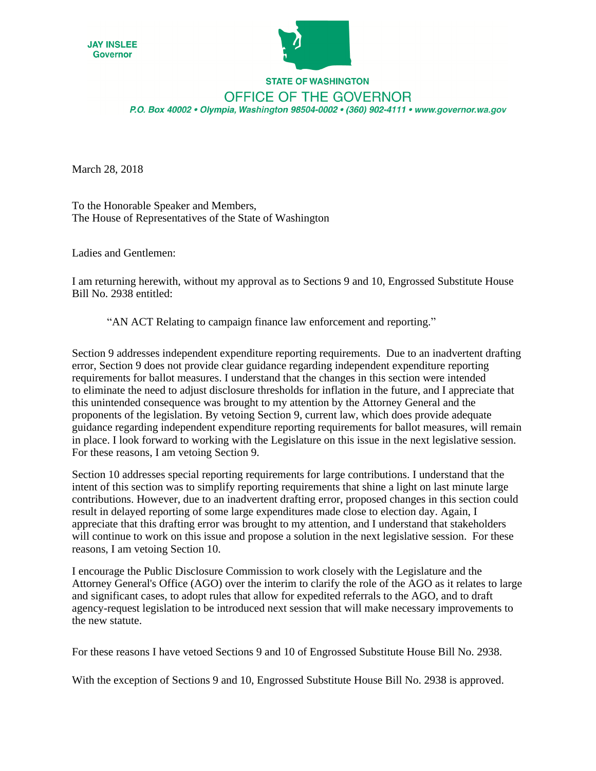



## **STATE OF WASHINGTON** OFFICE OF THE GOVERNOR P.O. Box 40002 · Olympia, Washington 98504-0002 · (360) 902-4111 · www.governor.wa.gov

March 28, 2018

To the Honorable Speaker and Members, The House of Representatives of the State of Washington

Ladies and Gentlemen:

I am returning herewith, without my approval as to Sections 9 and 10, Engrossed Substitute House Bill No. 2938 entitled:

"AN ACT Relating to campaign finance law enforcement and reporting."

Section 9 addresses independent expenditure reporting requirements. Due to an inadvertent drafting error, Section 9 does not provide clear guidance regarding independent expenditure reporting requirements for ballot measures. I understand that the changes in this section were intended to eliminate the need to adjust disclosure thresholds for inflation in the future, and I appreciate that this unintended consequence was brought to my attention by the Attorney General and the proponents of the legislation. By vetoing Section 9, current law, which does provide adequate guidance regarding independent expenditure reporting requirements for ballot measures, will remain in place. I look forward to working with the Legislature on this issue in the next legislative session. For these reasons, I am vetoing Section 9.

Section 10 addresses special reporting requirements for large contributions. I understand that the intent of this section was to simplify reporting requirements that shine a light on last minute large contributions. However, due to an inadvertent drafting error, proposed changes in this section could result in delayed reporting of some large expenditures made close to election day. Again, I appreciate that this drafting error was brought to my attention, and I understand that stakeholders will continue to work on this issue and propose a solution in the next legislative session. For these reasons, I am vetoing Section 10.

I encourage the Public Disclosure Commission to work closely with the Legislature and the Attorney General's Office (AGO) over the interim to clarify the role of the AGO as it relates to large and significant cases, to adopt rules that allow for expedited referrals to the AGO, and to draft agency-request legislation to be introduced next session that will make necessary improvements to the new statute.

For these reasons I have vetoed Sections 9 and 10 of Engrossed Substitute House Bill No. 2938.

With the exception of Sections 9 and 10, Engrossed Substitute House Bill No. 2938 is approved.